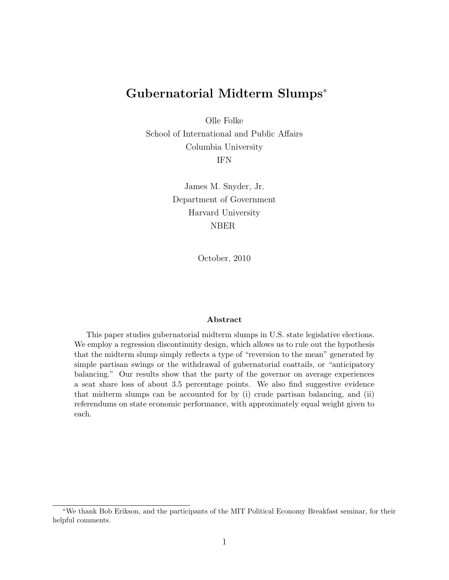# Gubernatorial Midterm Slumps<sup>∗</sup>

Olle Folke

School of International and Public Affairs Columbia University IFN

> James M. Snyder, Jr. Department of Government Harvard University NBER

> > October, 2010

#### Abstract

This paper studies gubernatorial midterm slumps in U.S. state legislative elections. We employ a regression discontinuity design, which allows us to rule out the hypothesis that the midterm slump simply reflects a type of "reversion to the mean" generated by simple partisan swings or the withdrawal of gubernatorial coattails, or "anticipatory balancing." Our results show that the party of the governor on average experiences a seat share loss of about 3.5 percentage points. We also find suggestive evidence that midterm slumps can be accounted for by (i) crude partisan balancing, and (ii) referendums on state economic performance, with approximately equal weight given to each.

<sup>∗</sup>We thank Bob Erikson, and the participants of the MIT Political Economy Breakfast seminar, for their helpful comments.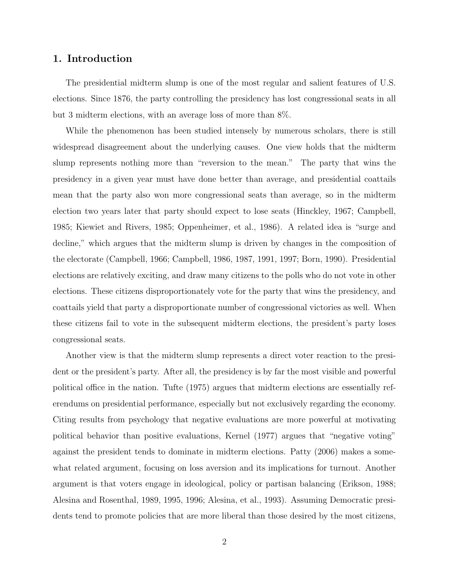# 1. Introduction

The presidential midterm slump is one of the most regular and salient features of U.S. elections. Since 1876, the party controlling the presidency has lost congressional seats in all but 3 midterm elections, with an average loss of more than 8%.

While the phenomenon has been studied intensely by numerous scholars, there is still widespread disagreement about the underlying causes. One view holds that the midterm slump represents nothing more than "reversion to the mean." The party that wins the presidency in a given year must have done better than average, and presidential coattails mean that the party also won more congressional seats than average, so in the midterm election two years later that party should expect to lose seats (Hinckley, 1967; Campbell, 1985; Kiewiet and Rivers, 1985; Oppenheimer, et al., 1986). A related idea is "surge and decline," which argues that the midterm slump is driven by changes in the composition of the electorate (Campbell, 1966; Campbell, 1986, 1987, 1991, 1997; Born, 1990). Presidential elections are relatively exciting, and draw many citizens to the polls who do not vote in other elections. These citizens disproportionately vote for the party that wins the presidency, and coattails yield that party a disproportionate number of congressional victories as well. When these citizens fail to vote in the subsequent midterm elections, the president's party loses congressional seats.

Another view is that the midterm slump represents a direct voter reaction to the president or the president's party. After all, the presidency is by far the most visible and powerful political office in the nation. Tufte (1975) argues that midterm elections are essentially referendums on presidential performance, especially but not exclusively regarding the economy. Citing results from psychology that negative evaluations are more powerful at motivating political behavior than positive evaluations, Kernel (1977) argues that "negative voting" against the president tends to dominate in midterm elections. Patty (2006) makes a somewhat related argument, focusing on loss aversion and its implications for turnout. Another argument is that voters engage in ideological, policy or partisan balancing (Erikson, 1988; Alesina and Rosenthal, 1989, 1995, 1996; Alesina, et al., 1993). Assuming Democratic presidents tend to promote policies that are more liberal than those desired by the most citizens,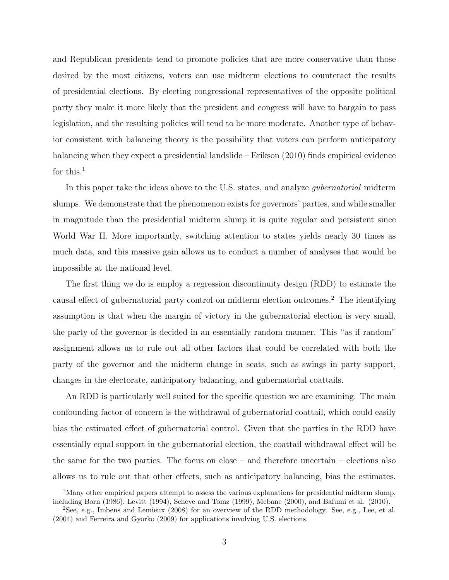and Republican presidents tend to promote policies that are more conservative than those desired by the most citizens, voters can use midterm elections to counteract the results of presidential elections. By electing congressional representatives of the opposite political party they make it more likely that the president and congress will have to bargain to pass legislation, and the resulting policies will tend to be more moderate. Another type of behavior consistent with balancing theory is the possibility that voters can perform anticipatory balancing when they expect a presidential landslide – Erikson (2010) finds empirical evidence for this.<sup>1</sup>

In this paper take the ideas above to the U.S. states, and analyze *gubernatorial* midterm slumps. We demonstrate that the phenomenon exists for governors' parties, and while smaller in magnitude than the presidential midterm slump it is quite regular and persistent since World War II. More importantly, switching attention to states yields nearly 30 times as much data, and this massive gain allows us to conduct a number of analyses that would be impossible at the national level.

The first thing we do is employ a regression discontinuity design (RDD) to estimate the causal effect of gubernatorial party control on midterm election outcomes.<sup>2</sup> The identifying assumption is that when the margin of victory in the gubernatorial election is very small, the party of the governor is decided in an essentially random manner. This "as if random" assignment allows us to rule out all other factors that could be correlated with both the party of the governor and the midterm change in seats, such as swings in party support, changes in the electorate, anticipatory balancing, and gubernatorial coattails.

An RDD is particularly well suited for the specific question we are examining. The main confounding factor of concern is the withdrawal of gubernatorial coattail, which could easily bias the estimated effect of gubernatorial control. Given that the parties in the RDD have essentially equal support in the gubernatorial election, the coattail withdrawal effect will be the same for the two parties. The focus on close – and therefore uncertain – elections also allows us to rule out that other effects, such as anticipatory balancing, bias the estimates.

<sup>&</sup>lt;sup>1</sup>Many other empirical papers attempt to assess the various explanations for presidential midterm slump, including Born (1986), Levitt (1994), Scheve and Tomz (1999), Mebane (2000), and Bafumi et al. (2010).

<sup>2</sup>See, e.g., Imbens and Lemieux (2008) for an overview of the RDD methodology. See, e.g., Lee, et al. (2004) and Ferreira and Gyorko (2009) for applications involving U.S. elections.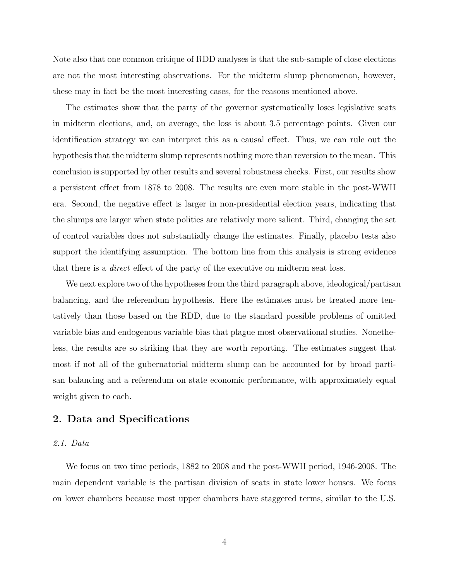Note also that one common critique of RDD analyses is that the sub-sample of close elections are not the most interesting observations. For the midterm slump phenomenon, however, these may in fact be the most interesting cases, for the reasons mentioned above.

The estimates show that the party of the governor systematically loses legislative seats in midterm elections, and, on average, the loss is about 3.5 percentage points. Given our identification strategy we can interpret this as a causal effect. Thus, we can rule out the hypothesis that the midterm slump represents nothing more than reversion to the mean. This conclusion is supported by other results and several robustness checks. First, our results show a persistent effect from 1878 to 2008. The results are even more stable in the post-WWII era. Second, the negative effect is larger in non-presidential election years, indicating that the slumps are larger when state politics are relatively more salient. Third, changing the set of control variables does not substantially change the estimates. Finally, placebo tests also support the identifying assumption. The bottom line from this analysis is strong evidence that there is a direct effect of the party of the executive on midterm seat loss.

We next explore two of the hypotheses from the third paragraph above, ideological/partisan balancing, and the referendum hypothesis. Here the estimates must be treated more tentatively than those based on the RDD, due to the standard possible problems of omitted variable bias and endogenous variable bias that plague most observational studies. Nonetheless, the results are so striking that they are worth reporting. The estimates suggest that most if not all of the gubernatorial midterm slump can be accounted for by broad partisan balancing and a referendum on state economic performance, with approximately equal weight given to each.

# 2. Data and Specifications

#### 2.1. Data

We focus on two time periods, 1882 to 2008 and the post-WWII period, 1946-2008. The main dependent variable is the partisan division of seats in state lower houses. We focus on lower chambers because most upper chambers have staggered terms, similar to the U.S.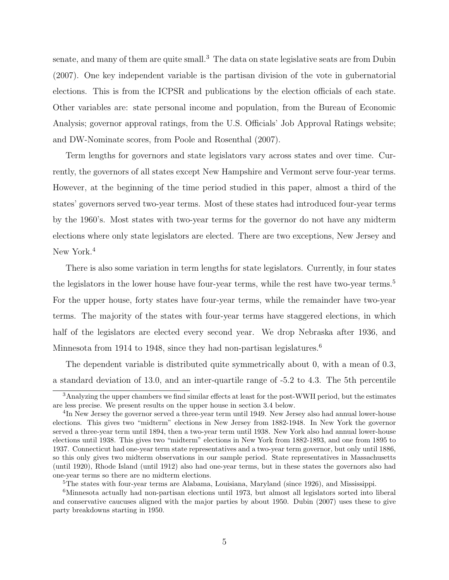senate, and many of them are quite small.<sup>3</sup> The data on state legislative seats are from Dubin (2007). One key independent variable is the partisan division of the vote in gubernatorial elections. This is from the ICPSR and publications by the election officials of each state. Other variables are: state personal income and population, from the Bureau of Economic Analysis; governor approval ratings, from the U.S. Officials' Job Approval Ratings website; and DW-Nominate scores, from Poole and Rosenthal (2007).

Term lengths for governors and state legislators vary across states and over time. Currently, the governors of all states except New Hampshire and Vermont serve four-year terms. However, at the beginning of the time period studied in this paper, almost a third of the states' governors served two-year terms. Most of these states had introduced four-year terms by the 1960's. Most states with two-year terms for the governor do not have any midterm elections where only state legislators are elected. There are two exceptions, New Jersey and New York.<sup>4</sup>

There is also some variation in term lengths for state legislators. Currently, in four states the legislators in the lower house have four-year terms, while the rest have two-year terms.<sup>5</sup> For the upper house, forty states have four-year terms, while the remainder have two-year terms. The majority of the states with four-year terms have staggered elections, in which half of the legislators are elected every second year. We drop Nebraska after 1936, and Minnesota from 1914 to 1948, since they had non-partisan legislatures.<sup>6</sup>

The dependent variable is distributed quite symmetrically about 0, with a mean of 0.3, a standard deviation of 13.0, and an inter-quartile range of -5.2 to 4.3. The 5th percentile

<sup>&</sup>lt;sup>3</sup>Analyzing the upper chambers we find similar effects at least for the post-WWII period, but the estimates are less precise. We present results on the upper house in section 3.4 below.

<sup>&</sup>lt;sup>4</sup>In New Jersey the governor served a three-year term until 1949. New Jersey also had annual lower-house elections. This gives two "midterm" elections in New Jersey from 1882-1948. In New York the governor served a three-year term until 1894, then a two-year term until 1938. New York also had annual lower-house elections until 1938. This gives two "midterm" elections in New York from 1882-1893, and one from 1895 to 1937. Connecticut had one-year term state representatives and a two-year term governor, but only until 1886, so this only gives two midterm observations in our sample period. State representatives in Massachusetts (until 1920), Rhode Island (until 1912) also had one-year terms, but in these states the governors also had one-year terms so there are no midterm elections.

<sup>&</sup>lt;sup>5</sup>The states with four-year terms are Alabama, Louisiana, Maryland (since 1926), and Mississippi.

<sup>6</sup>Minnesota actually had non-partisan elections until 1973, but almost all legislators sorted into liberal and conservative caucuses aligned with the major parties by about 1950. Dubin (2007) uses these to give party breakdowns starting in 1950.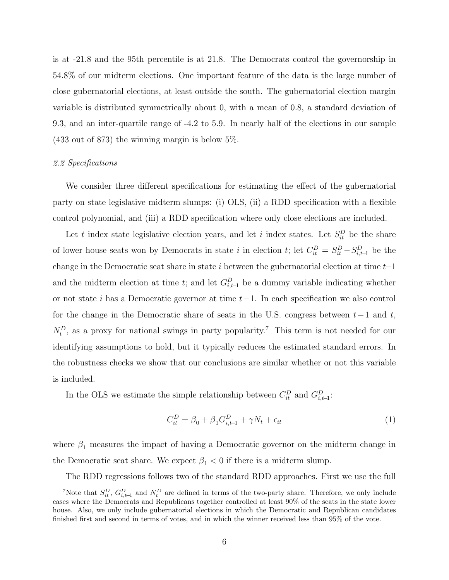is at -21.8 and the 95th percentile is at 21.8. The Democrats control the governorship in 54.8% of our midterm elections. One important feature of the data is the large number of close gubernatorial elections, at least outside the south. The gubernatorial election margin variable is distributed symmetrically about 0, with a mean of 0.8, a standard deviation of 9.3, and an inter-quartile range of -4.2 to 5.9. In nearly half of the elections in our sample (433 out of 873) the winning margin is below 5%.

#### 2.2 Specifications

We consider three different specifications for estimating the effect of the gubernatorial party on state legislative midterm slumps: (i) OLS, (ii) a RDD specification with a flexible control polynomial, and (iii) a RDD specification where only close elections are included.

Let t index state legislative election years, and let i index states. Let  $S_{it}^D$  be the share of lower house seats won by Democrats in state i in election t; let  $C_{it}^D = S_{it}^D - S_{i,t-1}^D$  be the change in the Democratic seat share in state i between the gubernatorial election at time  $t-1$ and the midterm election at time t; and let  $G_{i,t-1}^D$  be a dummy variable indicating whether or not state i has a Democratic governor at time t−1. In each specification we also control for the change in the Democratic share of seats in the U.S. congress between  $t-1$  and t,  $N_t^D$ , as a proxy for national swings in party popularity.<sup>7</sup> This term is not needed for our identifying assumptions to hold, but it typically reduces the estimated standard errors. In the robustness checks we show that our conclusions are similar whether or not this variable is included.

In the OLS we estimate the simple relationship between  $C_{it}^D$  and  $G_{i,t-1}^D$ :

$$
C_{it}^D = \beta_0 + \beta_1 G_{i,t-1}^D + \gamma N_t + \epsilon_{it}
$$
\n<sup>(1)</sup>

where  $\beta_1$  measures the impact of having a Democratic governor on the midterm change in the Democratic seat share. We expect  $\beta_1 < 0$  if there is a midterm slump.

The RDD regressions follows two of the standard RDD approaches. First we use the full

<sup>&</sup>lt;sup>7</sup>Note that  $S_{it}^D$ ,  $G_{i,t-1}^D$  and  $N_t^D$  are defined in terms of the two-party share. Therefore, we only include cases where the Democrats and Republicans together controlled at least 90% of the seats in the state lower house. Also, we only include gubernatorial elections in which the Democratic and Republican candidates finished first and second in terms of votes, and in which the winner received less than 95% of the vote.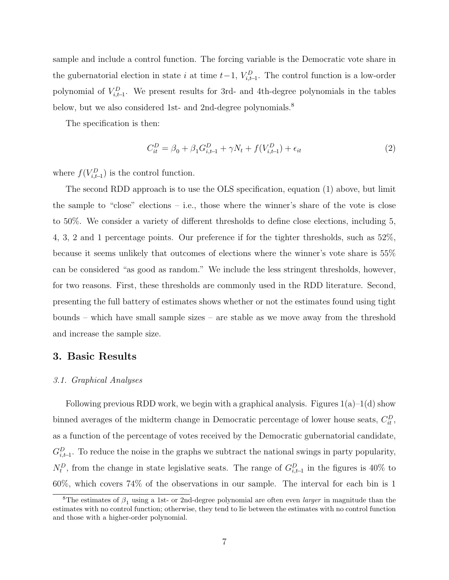sample and include a control function. The forcing variable is the Democratic vote share in the gubernatorial election in state i at time  $t-1$ ,  $V_{i,t-1}^D$ . The control function is a low-order polynomial of  $V_{i,t-1}^D$ . We present results for 3rd- and 4th-degree polynomials in the tables below, but we also considered 1st- and 2nd-degree polynomials.<sup>8</sup>

The specification is then:

$$
C_{it}^{D} = \beta_0 + \beta_1 G_{i,t-1}^{D} + \gamma N_t + f(V_{i,t-1}^{D}) + \epsilon_{it}
$$
\n(2)

where  $f(V_{i,t-1}^D)$  is the control function.

The second RDD approach is to use the OLS specification, equation (1) above, but limit the sample to "close" elections – i.e., those where the winner's share of the vote is close to 50%. We consider a variety of different thresholds to define close elections, including 5, 4, 3, 2 and 1 percentage points. Our preference if for the tighter thresholds, such as 52%, because it seems unlikely that outcomes of elections where the winner's vote share is 55% can be considered "as good as random." We include the less stringent thresholds, however, for two reasons. First, these thresholds are commonly used in the RDD literature. Second, presenting the full battery of estimates shows whether or not the estimates found using tight bounds – which have small sample sizes – are stable as we move away from the threshold and increase the sample size.

### 3. Basic Results

#### 3.1. Graphical Analyses

Following previous RDD work, we begin with a graphical analysis. Figures  $1(a)-1(d)$  show binned averages of the midterm change in Democratic percentage of lower house seats,  $C_{it}^D$ , as a function of the percentage of votes received by the Democratic gubernatorial candidate,  $G_{i,t-1}^D$ . To reduce the noise in the graphs we subtract the national swings in party popularity,  $N_t^D$ , from the change in state legislative seats. The range of  $G_{i,t-1}^D$  in the figures is 40% to 60%, which covers 74% of the observations in our sample. The interval for each bin is 1

<sup>&</sup>lt;sup>8</sup>The estimates of  $\beta_1$  using a 1st- or 2nd-degree polynomial are often even *larger* in magnitude than the estimates with no control function; otherwise, they tend to lie between the estimates with no control function and those with a higher-order polynomial.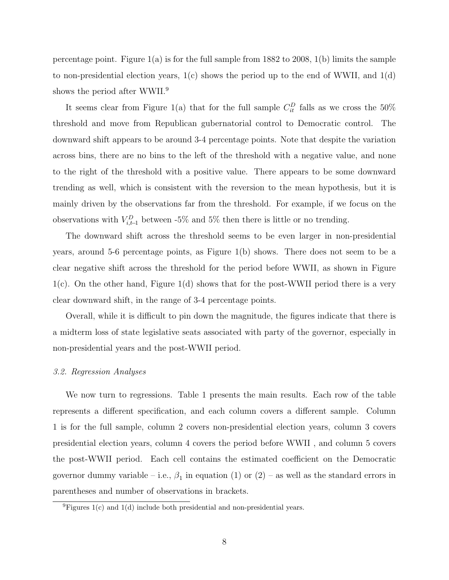percentage point. Figure  $1(a)$  is for the full sample from 1882 to 2008,  $1(b)$  limits the sample to non-presidential election years,  $1(c)$  shows the period up to the end of WWII, and  $1(d)$ shows the period after WWII.<sup>9</sup>

It seems clear from Figure 1(a) that for the full sample  $C_{it}^D$  falls as we cross the 50% threshold and move from Republican gubernatorial control to Democratic control. The downward shift appears to be around 3-4 percentage points. Note that despite the variation across bins, there are no bins to the left of the threshold with a negative value, and none to the right of the threshold with a positive value. There appears to be some downward trending as well, which is consistent with the reversion to the mean hypothesis, but it is mainly driven by the observations far from the threshold. For example, if we focus on the observations with  $V_{i,t-1}^D$  between -5% and 5% then there is little or no trending.

The downward shift across the threshold seems to be even larger in non-presidential years, around 5-6 percentage points, as Figure 1(b) shows. There does not seem to be a clear negative shift across the threshold for the period before WWII, as shown in Figure 1(c). On the other hand, Figure 1(d) shows that for the post-WWII period there is a very clear downward shift, in the range of 3-4 percentage points.

Overall, while it is difficult to pin down the magnitude, the figures indicate that there is a midterm loss of state legislative seats associated with party of the governor, especially in non-presidential years and the post-WWII period.

#### 3.2. Regression Analyses

We now turn to regressions. Table 1 presents the main results. Each row of the table represents a different specification, and each column covers a different sample. Column 1 is for the full sample, column 2 covers non-presidential election years, column 3 covers presidential election years, column 4 covers the period before WWII , and column 5 covers the post-WWII period. Each cell contains the estimated coefficient on the Democratic governor dummy variable – i.e.,  $\beta_1$  in equation (1) or (2) – as well as the standard errors in parentheses and number of observations in brackets.

 ${}^{9}$ Figures 1(c) and 1(d) include both presidential and non-presidential years.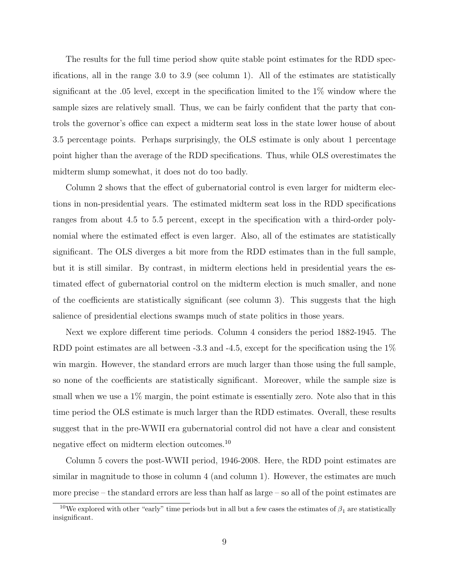The results for the full time period show quite stable point estimates for the RDD specifications, all in the range 3.0 to 3.9 (see column 1). All of the estimates are statistically significant at the .05 level, except in the specification limited to the 1% window where the sample sizes are relatively small. Thus, we can be fairly confident that the party that controls the governor's office can expect a midterm seat loss in the state lower house of about 3.5 percentage points. Perhaps surprisingly, the OLS estimate is only about 1 percentage point higher than the average of the RDD specifications. Thus, while OLS overestimates the midterm slump somewhat, it does not do too badly.

Column 2 shows that the effect of gubernatorial control is even larger for midterm elections in non-presidential years. The estimated midterm seat loss in the RDD specifications ranges from about 4.5 to 5.5 percent, except in the specification with a third-order polynomial where the estimated effect is even larger. Also, all of the estimates are statistically significant. The OLS diverges a bit more from the RDD estimates than in the full sample, but it is still similar. By contrast, in midterm elections held in presidential years the estimated effect of gubernatorial control on the midterm election is much smaller, and none of the coefficients are statistically significant (see column 3). This suggests that the high salience of presidential elections swamps much of state politics in those years.

Next we explore different time periods. Column 4 considers the period 1882-1945. The RDD point estimates are all between -3.3 and -4.5, except for the specification using the 1% win margin. However, the standard errors are much larger than those using the full sample, so none of the coefficients are statistically significant. Moreover, while the sample size is small when we use a  $1\%$  margin, the point estimate is essentially zero. Note also that in this time period the OLS estimate is much larger than the RDD estimates. Overall, these results suggest that in the pre-WWII era gubernatorial control did not have a clear and consistent negative effect on midterm election outcomes.<sup>10</sup>

Column 5 covers the post-WWII period, 1946-2008. Here, the RDD point estimates are similar in magnitude to those in column 4 (and column 1). However, the estimates are much more precise – the standard errors are less than half as large – so all of the point estimates are

 $10$ We explored with other "early" time periods but in all but a few cases the estimates of  $\beta_1$  are statistically insignificant.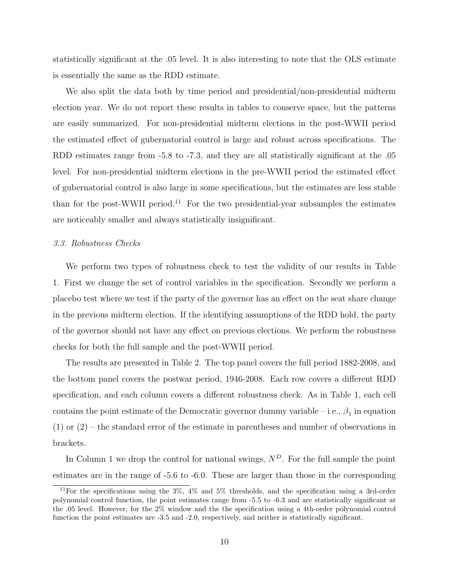statistically significant at the .05 level. It is also interesting to note that the OLS estimate is essentially the same as the RDD estimate.

We also split the data both by time period and presidential/non-presidential midterm election year. We do not report these results in tables to conserve space, but the patterns are easily summarized. For non-presidential midterm elections in the post-WWII period the estimated effect of gubernatorial control is large and robust across specifications. The RDD estimates range from -5.8 to -7.3, and they are all statistically significant at the .05 level. For non-presidential midterm elections in the pre-WWII period the estimated effect of gubernatorial control is also large in some specifications, but the estimates are less stable than for the post-WWII period.<sup>11</sup> For the two presidential-year subsamples the estimates are noticeably smaller and always statistically insignificant.

#### 3.3. Robustness Checks

We perform two types of robustness check to test the validity of our results in Table 1. First we change the set of control variables in the specification. Secondly we perform a placebo test where we test if the party of the governor has an effect on the seat share change in the previous midterm election. If the identifying assumptions of the RDD hold, the party of the governor should not have any effect on previous elections. We perform the robustness checks for both the full sample and the post-WWII period.

The results are presented in Table 2. The top panel covers the full period 1882-2008, and the bottom panel covers the postwar period, 1946-2008. Each row covers a different RDD specification, and each column covers a different robustness check. As in Table 1, each cell contains the point estimate of the Democratic governor dummy variable – i.e.,  $\beta_1$  in equation (1) or (2) – the standard error of the estimate in parentheses and number of observations in brackets.

In Column 1 we drop the control for national swings,  $N<sup>D</sup>$ . For the full sample the point estimates are in the range of -5.6 to -6.0. These are larger than those in the corresponding

<sup>&</sup>lt;sup>11</sup>For the specifications using the 3%, 4% and 5% thresholds, and the specification using a 3rd-order polynomial control function, the point estimates range from -5.5 to -6.3 and are statistically significant at the .05 level. However, for the 2% window and the the specification using a 4th-order polynomial control function the point estimates are -3.5 and -2.0, respectively, and neither is statistically significant.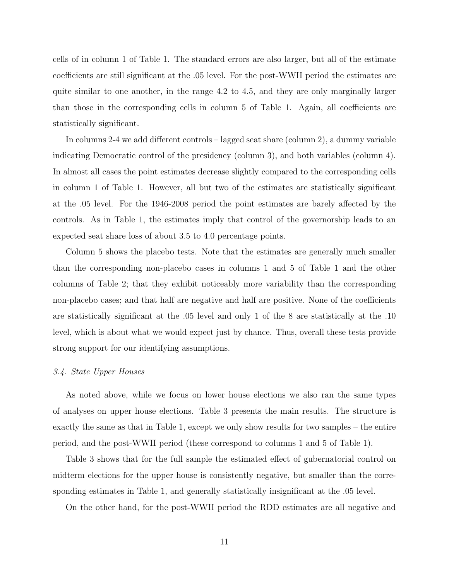cells of in column 1 of Table 1. The standard errors are also larger, but all of the estimate coefficients are still significant at the .05 level. For the post-WWII period the estimates are quite similar to one another, in the range 4.2 to 4.5, and they are only marginally larger than those in the corresponding cells in column 5 of Table 1. Again, all coefficients are statistically significant.

In columns 2-4 we add different controls – lagged seat share (column 2), a dummy variable indicating Democratic control of the presidency (column 3), and both variables (column 4). In almost all cases the point estimates decrease slightly compared to the corresponding cells in column 1 of Table 1. However, all but two of the estimates are statistically significant at the .05 level. For the 1946-2008 period the point estimates are barely affected by the controls. As in Table 1, the estimates imply that control of the governorship leads to an expected seat share loss of about 3.5 to 4.0 percentage points.

Column 5 shows the placebo tests. Note that the estimates are generally much smaller than the corresponding non-placebo cases in columns 1 and 5 of Table 1 and the other columns of Table 2; that they exhibit noticeably more variability than the corresponding non-placebo cases; and that half are negative and half are positive. None of the coefficients are statistically significant at the .05 level and only 1 of the 8 are statistically at the .10 level, which is about what we would expect just by chance. Thus, overall these tests provide strong support for our identifying assumptions.

#### 3.4. State Upper Houses

As noted above, while we focus on lower house elections we also ran the same types of analyses on upper house elections. Table 3 presents the main results. The structure is exactly the same as that in Table 1, except we only show results for two samples – the entire period, and the post-WWII period (these correspond to columns 1 and 5 of Table 1).

Table 3 shows that for the full sample the estimated effect of gubernatorial control on midterm elections for the upper house is consistently negative, but smaller than the corresponding estimates in Table 1, and generally statistically insignificant at the .05 level.

On the other hand, for the post-WWII period the RDD estimates are all negative and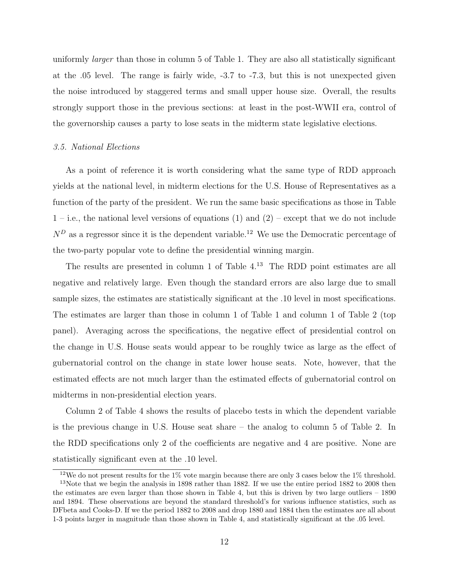uniformly *larger* than those in column 5 of Table 1. They are also all statistically significant at the .05 level. The range is fairly wide, -3.7 to -7.3, but this is not unexpected given the noise introduced by staggered terms and small upper house size. Overall, the results strongly support those in the previous sections: at least in the post-WWII era, control of the governorship causes a party to lose seats in the midterm state legislative elections.

#### 3.5. National Elections

As a point of reference it is worth considering what the same type of RDD approach yields at the national level, in midterm elections for the U.S. House of Representatives as a function of the party of the president. We run the same basic specifications as those in Table  $1 - i.e.,$  the national level versions of equations (1) and (2) – except that we do not include  $N<sup>D</sup>$  as a regressor since it is the dependent variable.<sup>12</sup> We use the Democratic percentage of the two-party popular vote to define the presidential winning margin.

The results are presented in column 1 of Table  $4^{13}$ . The RDD point estimates are all negative and relatively large. Even though the standard errors are also large due to small sample sizes, the estimates are statistically significant at the .10 level in most specifications. The estimates are larger than those in column 1 of Table 1 and column 1 of Table 2 (top panel). Averaging across the specifications, the negative effect of presidential control on the change in U.S. House seats would appear to be roughly twice as large as the effect of gubernatorial control on the change in state lower house seats. Note, however, that the estimated effects are not much larger than the estimated effects of gubernatorial control on midterms in non-presidential election years.

Column 2 of Table 4 shows the results of placebo tests in which the dependent variable is the previous change in U.S. House seat share – the analog to column 5 of Table 2. In the RDD specifications only 2 of the coefficients are negative and 4 are positive. None are statistically significant even at the .10 level.

<sup>&</sup>lt;sup>12</sup>We do not present results for the  $1\%$  vote margin because there are only 3 cases below the  $1\%$  threshold. <sup>13</sup>Note that we begin the analysis in 1898 rather than 1882. If we use the entire period 1882 to 2008 then the estimates are even larger than those shown in Table 4, but this is driven by two large outliers  $-1890$ and 1894. These observations are beyond the standard threshold's for various influence statistics, such as DFbeta and Cooks-D. If we the period 1882 to 2008 and drop 1880 and 1884 then the estimates are all about 1-3 points larger in magnitude than those shown in Table 4, and statistically significant at the .05 level.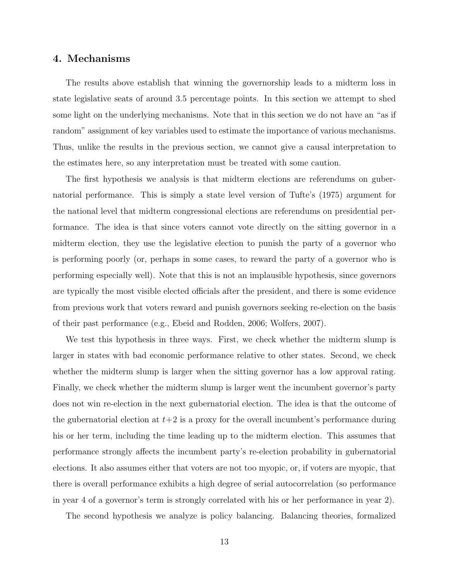# 4. Mechanisms

The results above establish that winning the governorship leads to a midterm loss in state legislative seats of around 3.5 percentage points. In this section we attempt to shed some light on the underlying mechanisms. Note that in this section we do not have an "as if random" assignment of key variables used to estimate the importance of various mechanisms. Thus, unlike the results in the previous section, we cannot give a causal interpretation to the estimates here, so any interpretation must be treated with some caution.

The first hypothesis we analysis is that midterm elections are referendums on gubernatorial performance. This is simply a state level version of Tufte's (1975) argument for the national level that midterm congressional elections are referendums on presidential performance. The idea is that since voters cannot vote directly on the sitting governor in a midterm election, they use the legislative election to punish the party of a governor who is performing poorly (or, perhaps in some cases, to reward the party of a governor who is performing especially well). Note that this is not an implausible hypothesis, since governors are typically the most visible elected officials after the president, and there is some evidence from previous work that voters reward and punish governors seeking re-election on the basis of their past performance (e.g., Ebeid and Rodden, 2006; Wolfers, 2007).

We test this hypothesis in three ways. First, we check whether the midterm slump is larger in states with bad economic performance relative to other states. Second, we check whether the midterm slump is larger when the sitting governor has a low approval rating. Finally, we check whether the midterm slump is larger went the incumbent governor's party does not win re-election in the next gubernatorial election. The idea is that the outcome of the gubernatorial election at  $t+2$  is a proxy for the overall incumbent's performance during his or her term, including the time leading up to the midterm election. This assumes that performance strongly affects the incumbent party's re-election probability in gubernatorial elections. It also assumes either that voters are not too myopic, or, if voters are myopic, that there is overall performance exhibits a high degree of serial autocorrelation (so performance in year 4 of a governor's term is strongly correlated with his or her performance in year 2).

The second hypothesis we analyze is policy balancing. Balancing theories, formalized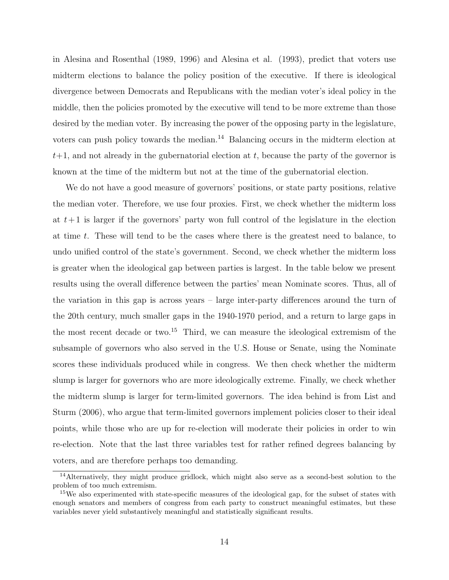in Alesina and Rosenthal (1989, 1996) and Alesina et al. (1993), predict that voters use midterm elections to balance the policy position of the executive. If there is ideological divergence between Democrats and Republicans with the median voter's ideal policy in the middle, then the policies promoted by the executive will tend to be more extreme than those desired by the median voter. By increasing the power of the opposing party in the legislature, voters can push policy towards the median.<sup>14</sup> Balancing occurs in the midterm election at  $t+1$ , and not already in the gubernatorial election at t, because the party of the governor is known at the time of the midterm but not at the time of the gubernatorial election.

We do not have a good measure of governors' positions, or state party positions, relative the median voter. Therefore, we use four proxies. First, we check whether the midterm loss at  $t+1$  is larger if the governors' party won full control of the legislature in the election at time t. These will tend to be the cases where there is the greatest need to balance, to undo unified control of the state's government. Second, we check whether the midterm loss is greater when the ideological gap between parties is largest. In the table below we present results using the overall difference between the parties' mean Nominate scores. Thus, all of the variation in this gap is across years – large inter-party differences around the turn of the 20th century, much smaller gaps in the 1940-1970 period, and a return to large gaps in the most recent decade or two.<sup>15</sup> Third, we can measure the ideological extremism of the subsample of governors who also served in the U.S. House or Senate, using the Nominate scores these individuals produced while in congress. We then check whether the midterm slump is larger for governors who are more ideologically extreme. Finally, we check whether the midterm slump is larger for term-limited governors. The idea behind is from List and Sturm (2006), who argue that term-limited governors implement policies closer to their ideal points, while those who are up for re-election will moderate their policies in order to win re-election. Note that the last three variables test for rather refined degrees balancing by voters, and are therefore perhaps too demanding.

<sup>14</sup>Alternatively, they might produce gridlock, which might also serve as a second-best solution to the problem of too much extremism.

<sup>&</sup>lt;sup>15</sup>We also experimented with state-specific measures of the ideological gap, for the subset of states with enough senators and members of congress from each party to construct meaningful estimates, but these variables never yield substantively meaningful and statistically significant results.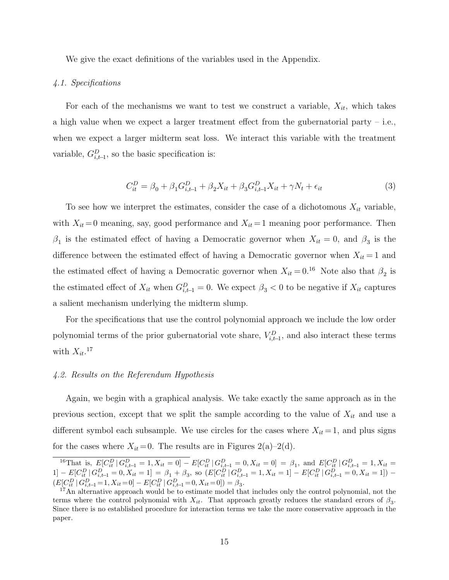We give the exact definitions of the variables used in the Appendix.

#### 4.1. Specifications

For each of the mechanisms we want to test we construct a variable,  $X_{it}$ , which takes a high value when we expect a larger treatment effect from the gubernatorial party – i.e., when we expect a larger midterm seat loss. We interact this variable with the treatment variable,  $G_{i,t-1}^D$ , so the basic specification is:

$$
C_{it}^{D} = \beta_0 + \beta_1 G_{i,t-1}^{D} + \beta_2 X_{it} + \beta_3 G_{i,t-1}^{D} X_{it} + \gamma N_t + \epsilon_{it}
$$
\n(3)

To see how we interpret the estimates, consider the case of a dichotomous  $X_{it}$  variable, with  $X_{it} = 0$  meaning, say, good performance and  $X_{it} = 1$  meaning poor performance. Then  $\beta_1$  is the estimated effect of having a Democratic governor when  $X_{it} = 0$ , and  $\beta_3$  is the difference between the estimated effect of having a Democratic governor when  $X_{it} = 1$  and the estimated effect of having a Democratic governor when  $X_{it} = 0.16$  Note also that  $\beta_2$  is the estimated effect of  $X_{it}$  when  $G_{i,t-1}^D = 0$ . We expect  $\beta_3 < 0$  to be negative if  $X_{it}$  captures a salient mechanism underlying the midterm slump.

For the specifications that use the control polynomial approach we include the low order polynomial terms of the prior gubernatorial vote share,  $V_{i,t-1}^D$ , and also interact these terms with  $X_{it}$ .<sup>17</sup>

#### 4.2. Results on the Referendum Hypothesis

Again, we begin with a graphical analysis. We take exactly the same approach as in the previous section, except that we split the sample according to the value of  $X_{it}$  and use a different symbol each subsample. We use circles for the cases where  $X_{it} = 1$ , and plus signs for the cases where  $X_{it} = 0$ . The results are in Figures 2(a)–2(d).

<sup>&</sup>lt;sup>16</sup>That is,  $E[C_{it}^D | G_{i,t-1}^D = 1, X_{it} = 0] - E[C_{it}^D | G_{i,t-1}^D = 0, X_{it} = 0] = \beta_1$ , and  $E[C_{it}^D | G_{i,t-1}^D = 1, X_{it} = 0]$  $1] - E[C_{it}^D | G_{i,t-1}^D = 0, X_{it} = 1] = \beta_1 + \beta_3$ , so  $(E[C_{it}^D | G_{i,t-1}^D = 1, X_{it} = 1] - E[C_{it}^D | G_{i,t-1}^D = 0, X_{it} = 1]) (E[C_{it}^D | G_{i,t-1}^D = 1, X_{it} = 0] - E[C_{it}^D | G_{i,t-1}^D = 0, X_{it} = 0]) = \beta_3.$ 

<sup>&</sup>lt;sup>17</sup>An alternative approach would be to estimate model that includes only the control polynomial, not the terms where the control polynomial with  $X_{it}$ . That approach greatly reduces the standard errors of  $\beta_3$ . Since there is no established procedure for interaction terms we take the more conservative approach in the paper.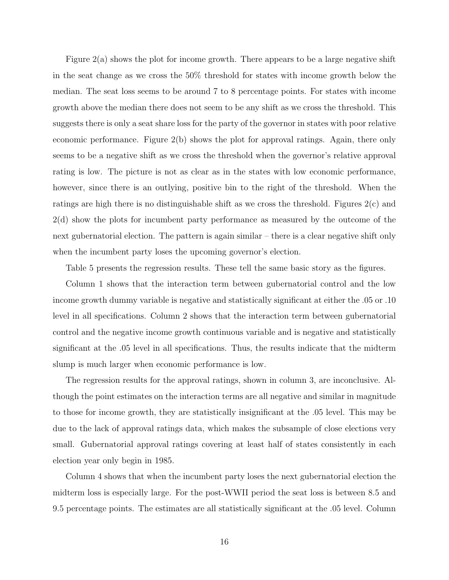Figure 2(a) shows the plot for income growth. There appears to be a large negative shift in the seat change as we cross the 50% threshold for states with income growth below the median. The seat loss seems to be around 7 to 8 percentage points. For states with income growth above the median there does not seem to be any shift as we cross the threshold. This suggests there is only a seat share loss for the party of the governor in states with poor relative economic performance. Figure 2(b) shows the plot for approval ratings. Again, there only seems to be a negative shift as we cross the threshold when the governor's relative approval rating is low. The picture is not as clear as in the states with low economic performance, however, since there is an outlying, positive bin to the right of the threshold. When the ratings are high there is no distinguishable shift as we cross the threshold. Figures 2(c) and 2(d) show the plots for incumbent party performance as measured by the outcome of the next gubernatorial election. The pattern is again similar – there is a clear negative shift only when the incumbent party loses the upcoming governor's election.

Table 5 presents the regression results. These tell the same basic story as the figures.

Column 1 shows that the interaction term between gubernatorial control and the low income growth dummy variable is negative and statistically significant at either the .05 or .10 level in all specifications. Column 2 shows that the interaction term between gubernatorial control and the negative income growth continuous variable and is negative and statistically significant at the .05 level in all specifications. Thus, the results indicate that the midterm slump is much larger when economic performance is low.

The regression results for the approval ratings, shown in column 3, are inconclusive. Although the point estimates on the interaction terms are all negative and similar in magnitude to those for income growth, they are statistically insignificant at the .05 level. This may be due to the lack of approval ratings data, which makes the subsample of close elections very small. Gubernatorial approval ratings covering at least half of states consistently in each election year only begin in 1985.

Column 4 shows that when the incumbent party loses the next gubernatorial election the midterm loss is especially large. For the post-WWII period the seat loss is between 8.5 and 9.5 percentage points. The estimates are all statistically significant at the .05 level. Column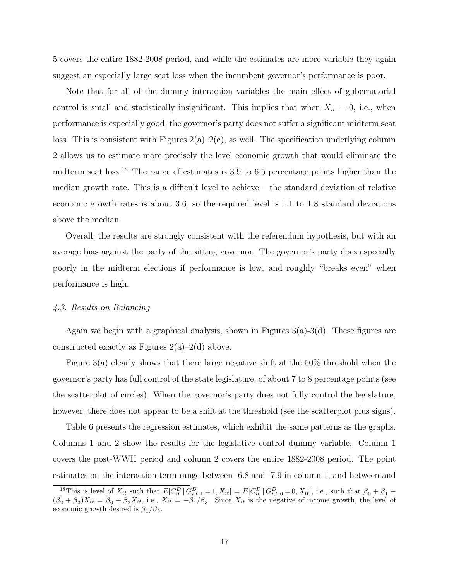5 covers the entire 1882-2008 period, and while the estimates are more variable they again suggest an especially large seat loss when the incumbent governor's performance is poor.

Note that for all of the dummy interaction variables the main effect of gubernatorial control is small and statistically insignificant. This implies that when  $X_{it} = 0$ , i.e., when performance is especially good, the governor's party does not suffer a significant midterm seat loss. This is consistent with Figures  $2(a)-2(c)$ , as well. The specification underlying column 2 allows us to estimate more precisely the level economic growth that would eliminate the midterm seat loss.<sup>18</sup> The range of estimates is 3.9 to 6.5 percentage points higher than the median growth rate. This is a difficult level to achieve – the standard deviation of relative economic growth rates is about 3.6, so the required level is 1.1 to 1.8 standard deviations above the median.

Overall, the results are strongly consistent with the referendum hypothesis, but with an average bias against the party of the sitting governor. The governor's party does especially poorly in the midterm elections if performance is low, and roughly "breaks even" when performance is high.

#### 4.3. Results on Balancing

Again we begin with a graphical analysis, shown in Figures  $3(a)$ -3(d). These figures are constructed exactly as Figures  $2(a)-2(d)$  above.

Figure 3(a) clearly shows that there large negative shift at the 50% threshold when the governor's party has full control of the state legislature, of about 7 to 8 percentage points (see the scatterplot of circles). When the governor's party does not fully control the legislature, however, there does not appear to be a shift at the threshold (see the scatterplot plus signs).

Table 6 presents the regression estimates, which exhibit the same patterns as the graphs. Columns 1 and 2 show the results for the legislative control dummy variable. Column 1 covers the post-WWII period and column 2 covers the entire 1882-2008 period. The point estimates on the interaction term range between -6.8 and -7.9 in column 1, and between and

<sup>&</sup>lt;sup>18</sup>This is level of  $X_{it}$  such that  $E[C_{it}^D | G_{i,t-1}^D = 1, X_{it}] = E[C_{it}^D | G_{i,t-0}^D = 0, X_{it}]$ , i.e., such that  $\beta_0 + \beta_1 + \beta_2$  $(\beta_2 + \beta_3)X_{it} = \beta_0 + \beta_2 X_{it}$ , i.e.,  $X_{it} = -\beta_1/\beta_3$ . Since  $X_{it}$  is the negative of income growth, the level of economic growth desired is  $\beta_1/\beta_3$ .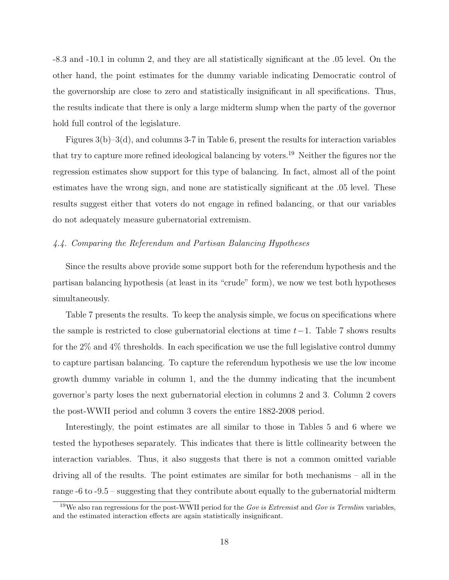-8.3 and -10.1 in column 2, and they are all statistically significant at the .05 level. On the other hand, the point estimates for the dummy variable indicating Democratic control of the governorship are close to zero and statistically insignificant in all specifications. Thus, the results indicate that there is only a large midterm slump when the party of the governor hold full control of the legislature.

Figures  $3(b)-3(d)$ , and columns 3-7 in Table 6, present the results for interaction variables that try to capture more refined ideological balancing by voters.<sup>19</sup> Neither the figures nor the regression estimates show support for this type of balancing. In fact, almost all of the point estimates have the wrong sign, and none are statistically significant at the .05 level. These results suggest either that voters do not engage in refined balancing, or that our variables do not adequately measure gubernatorial extremism.

#### 4.4. Comparing the Referendum and Partisan Balancing Hypotheses

Since the results above provide some support both for the referendum hypothesis and the partisan balancing hypothesis (at least in its "crude" form), we now we test both hypotheses simultaneously.

Table 7 presents the results. To keep the analysis simple, we focus on specifications where the sample is restricted to close gubernatorial elections at time  $t-1$ . Table 7 shows results for the  $2\%$  and  $4\%$  thresholds. In each specification we use the full legislative control dummy to capture partisan balancing. To capture the referendum hypothesis we use the low income growth dummy variable in column 1, and the the dummy indicating that the incumbent governor's party loses the next gubernatorial election in columns 2 and 3. Column 2 covers the post-WWII period and column 3 covers the entire 1882-2008 period.

Interestingly, the point estimates are all similar to those in Tables 5 and 6 where we tested the hypotheses separately. This indicates that there is little collinearity between the interaction variables. Thus, it also suggests that there is not a common omitted variable driving all of the results. The point estimates are similar for both mechanisms – all in the range -6 to -9.5 – suggesting that they contribute about equally to the gubernatorial midterm

<sup>&</sup>lt;sup>19</sup>We also ran regressions for the post-WWII period for the Gov is Extremist and Gov is Termlim variables, and the estimated interaction effects are again statistically insignificant.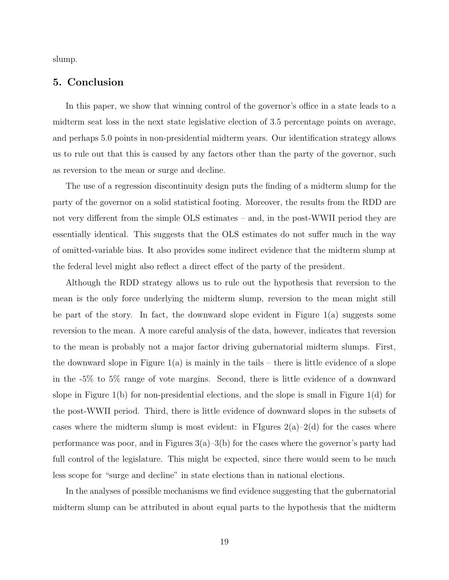slump.

# 5. Conclusion

In this paper, we show that winning control of the governor's office in a state leads to a midterm seat loss in the next state legislative election of 3.5 percentage points on average, and perhaps 5.0 points in non-presidential midterm years. Our identification strategy allows us to rule out that this is caused by any factors other than the party of the governor, such as reversion to the mean or surge and decline.

The use of a regression discontinuity design puts the finding of a midterm slump for the party of the governor on a solid statistical footing. Moreover, the results from the RDD are not very different from the simple OLS estimates – and, in the post-WWII period they are essentially identical. This suggests that the OLS estimates do not suffer much in the way of omitted-variable bias. It also provides some indirect evidence that the midterm slump at the federal level might also reflect a direct effect of the party of the president.

Although the RDD strategy allows us to rule out the hypothesis that reversion to the mean is the only force underlying the midterm slump, reversion to the mean might still be part of the story. In fact, the downward slope evident in Figure 1(a) suggests some reversion to the mean. A more careful analysis of the data, however, indicates that reversion to the mean is probably not a major factor driving gubernatorial midterm slumps. First, the downward slope in Figure  $1(a)$  is mainly in the tails – there is little evidence of a slope in the -5% to 5% range of vote margins. Second, there is little evidence of a downward slope in Figure 1(b) for non-presidential elections, and the slope is small in Figure 1(d) for the post-WWII period. Third, there is little evidence of downward slopes in the subsets of cases where the midterm slump is most evident: in FIgures  $2(a)-2(d)$  for the cases where performance was poor, and in Figures  $3(a)-3(b)$  for the cases where the governor's party had full control of the legislature. This might be expected, since there would seem to be much less scope for "surge and decline" in state elections than in national elections.

In the analyses of possible mechanisms we find evidence suggesting that the gubernatorial midterm slump can be attributed in about equal parts to the hypothesis that the midterm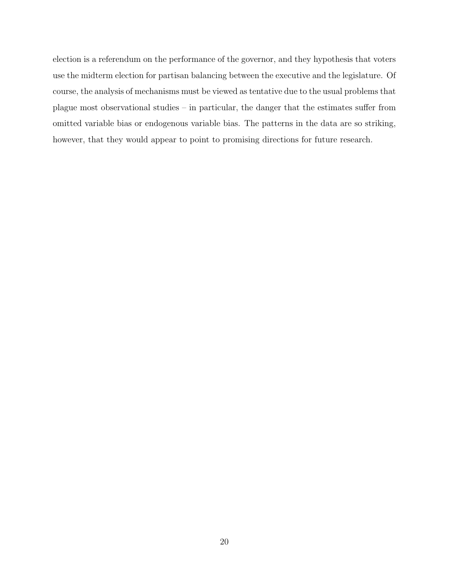election is a referendum on the performance of the governor, and they hypothesis that voters use the midterm election for partisan balancing between the executive and the legislature. Of course, the analysis of mechanisms must be viewed as tentative due to the usual problems that plague most observational studies – in particular, the danger that the estimates suffer from omitted variable bias or endogenous variable bias. The patterns in the data are so striking, however, that they would appear to point to promising directions for future research.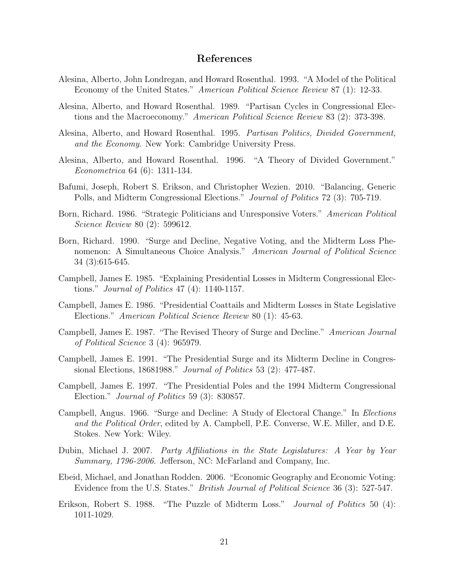## References

- Alesina, Alberto, John Londregan, and Howard Rosenthal. 1993. "A Model of the Political Economy of the United States." American Political Science Review 87 (1): 12-33.
- Alesina, Alberto, and Howard Rosenthal. 1989. "Partisan Cycles in Congressional Elections and the Macroeconomy." American Political Science Review 83 (2): 373-398.
- Alesina, Alberto, and Howard Rosenthal. 1995. Partisan Politics, Divided Government, and the Economy. New York: Cambridge University Press.
- Alesina, Alberto, and Howard Rosenthal. 1996. "A Theory of Divided Government." Econometrica 64 (6): 1311-134.
- Bafumi, Joseph, Robert S. Erikson, and Christopher Wezien. 2010. "Balancing, Generic Polls, and Midterm Congressional Elections." Journal of Politics 72 (3): 705-719.
- Born, Richard. 1986. "Strategic Politicians and Unresponsive Voters." American Political Science Review 80 (2): 599612.
- Born, Richard. 1990. "Surge and Decline, Negative Voting, and the Midterm Loss Phenomenon: A Simultaneous Choice Analysis." American Journal of Political Science 34 (3):615-645.
- Campbell, James E. 1985. "Explaining Presidential Losses in Midterm Congressional Elections." Journal of Politics 47 (4): 1140-1157.
- Campbell, James E. 1986. "Presidential Coattails and Midterm Losses in State Legislative Elections." American Political Science Review 80 (1): 45-63.
- Campbell, James E. 1987. "The Revised Theory of Surge and Decline." American Journal of Political Science 3 (4): 965979.
- Campbell, James E. 1991. "The Presidential Surge and its Midterm Decline in Congressional Elections, 18681988." Journal of Politics 53 (2): 477-487.
- Campbell, James E. 1997. "The Presidential Poles and the 1994 Midterm Congressional Election." Journal of Politics 59 (3): 830857.
- Campbell, Angus. 1966. "Surge and Decline: A Study of Electoral Change." In Elections and the Political Order, edited by A. Campbell, P.E. Converse, W.E. Miller, and D.E. Stokes. New York: Wiley.
- Dubin, Michael J. 2007. Party Affiliations in the State Legislatures: A Year by Year Summary, 1796-2006. Jefferson, NC: McFarland and Company, Inc.
- Ebeid, Michael, and Jonathan Rodden. 2006. "Economic Geography and Economic Voting: Evidence from the U.S. States." British Journal of Political Science 36 (3): 527-547.
- Erikson, Robert S. 1988. "The Puzzle of Midterm Loss." Journal of Politics 50 (4): 1011-1029.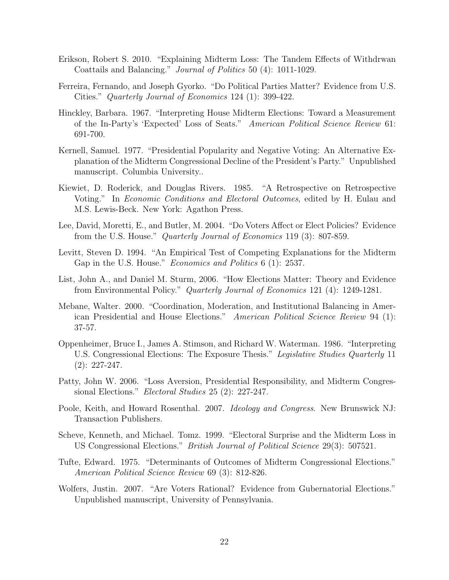- Erikson, Robert S. 2010. "Explaining Midterm Loss: The Tandem Effects of Withdrwan Coattails and Balancing." Journal of Politics 50 (4): 1011-1029.
- Ferreira, Fernando, and Joseph Gyorko. "Do Political Parties Matter? Evidence from U.S. Cities." Quarterly Journal of Economics 124 (1): 399-422.
- Hinckley, Barbara. 1967. "Interpreting House Midterm Elections: Toward a Measurement of the In-Party's 'Expected' Loss of Seats." American Political Science Review 61: 691-700.
- Kernell, Samuel. 1977. "Presidential Popularity and Negative Voting: An Alternative Explanation of the Midterm Congressional Decline of the President's Party." Unpublished manuscript. Columbia University..
- Kiewiet, D. Roderick, and Douglas Rivers. 1985. "A Retrospective on Retrospective Voting." In Economic Conditions and Electoral Outcomes, edited by H. Eulau and M.S. Lewis-Beck. New York: Agathon Press.
- Lee, David, Moretti, E., and Butler, M. 2004. "Do Voters Affect or Elect Policies? Evidence from the U.S. House." Quarterly Journal of Economics 119 (3): 807-859.
- Levitt, Steven D. 1994. "An Empirical Test of Competing Explanations for the Midterm Gap in the U.S. House." *Economics and Politics* 6 (1): 2537.
- List, John A., and Daniel M. Sturm, 2006. "How Elections Matter: Theory and Evidence from Environmental Policy." Quarterly Journal of Economics 121 (4): 1249-1281.
- Mebane, Walter. 2000. "Coordination, Moderation, and Institutional Balancing in American Presidential and House Elections." American Political Science Review 94 (1): 37-57.
- Oppenheimer, Bruce I., James A. Stimson, and Richard W. Waterman. 1986. "Interpreting U.S. Congressional Elections: The Exposure Thesis." Legislative Studies Quarterly 11 (2): 227-247.
- Patty, John W. 2006. "Loss Aversion, Presidential Responsibility, and Midterm Congressional Elections." Electoral Studies 25 (2): 227-247.
- Poole, Keith, and Howard Rosenthal. 2007. *Ideology and Congress*. New Brunswick NJ: Transaction Publishers.
- Scheve, Kenneth, and Michael. Tomz. 1999. "Electoral Surprise and the Midterm Loss in US Congressional Elections." British Journal of Political Science 29(3): 507521.
- Tufte, Edward. 1975. "Determinants of Outcomes of Midterm Congressional Elections." American Political Science Review 69 (3): 812-826.
- Wolfers, Justin. 2007. "Are Voters Rational? Evidence from Gubernatorial Elections." Unpublished manuscript, University of Pennsylvania.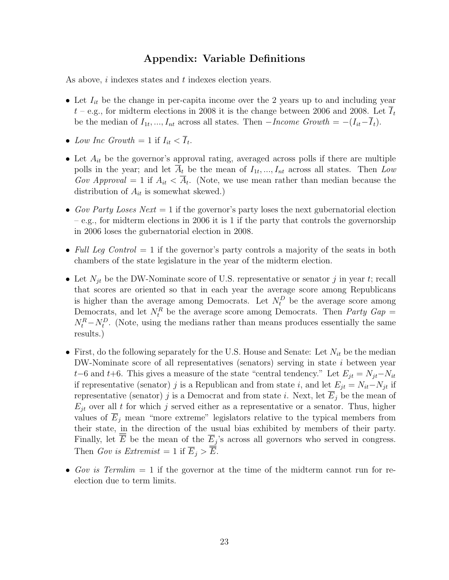# Appendix: Variable Definitions

As above, i indexes states and t indexes election years.

- Let  $I_{it}$  be the change in per-capita income over the 2 years up to and including year  $t$  – e.g., for midterm elections in 2008 it is the change between 2006 and 2008. Let  $\overline{I}_t$ be the median of  $I_{1t},..., I_{nt}$  across all states. Then  $-Income \ Growth = -(I_{it}-\overline{I}_{t}).$
- Low Inc Growth  $= 1$  if  $I_{it} < \overline{I}_{t}$ .
- Let  $A_{it}$  be the governor's approval rating, averaged across polls if there are multiple polls in the year; and let  $\overline{A}_t$  be the mean of  $I_{1t},...,I_{nt}$  across all states. Then Low Gov Approval = 1 if  $A_{it} < \overline{A}_{t}$ . (Note, we use mean rather than median because the distribution of  $A_{it}$  is somewhat skewed.)
- Gov Party Loses Next  $= 1$  if the governor's party loses the next gubernatorial election – e.g., for midterm elections in 2006 it is 1 if the party that controls the governorship in 2006 loses the gubernatorial election in 2008.
- Full Leg Control  $= 1$  if the governor's party controls a majority of the seats in both chambers of the state legislature in the year of the midterm election.
- Let  $N_{it}$  be the DW-Nominate score of U.S. representative or senator j in year t; recall that scores are oriented so that in each year the average score among Republicans is higher than the average among Democrats. Let  $N_t^D$  be the average score among Democrats, and let  $N_t^R$  be the average score among Democrats. Then *Party Gap* =  $N_t^R - N_t^D$ . (Note, using the medians rather than means produces essentially the same results.)
- First, do the following separately for the U.S. House and Senate: Let  $N_{it}$  be the median DW-Nominate score of all representatives (senators) serving in state i between year t–6 and t+6. This gives a measure of the state "central tendency." Let  $E_{jt} = N_{jt} - N_{it}$ if representative (senator) j is a Republican and from state i, and let  $E_{jt} = N_{it} - N_{jt}$  if representative (senator) j is a Democrat and from state i. Next, let  $E_j$  be the mean of  $E_{it}$  over all t for which j served either as a representative or a senator. Thus, higher values of  $E_j$  mean "more extreme" legislators relative to the typical members from their state, in the direction of the usual bias exhibited by members of their party. Finally, let  $\overline{E}$  be the mean of the  $\overline{E}_j$ 's across all governors who served in congress. Then Gov is Extremist = 1 if  $\overline{E}_i > \overline{E}$ .
- Gov is Termlim  $= 1$  if the governor at the time of the midterm cannot run for reelection due to term limits.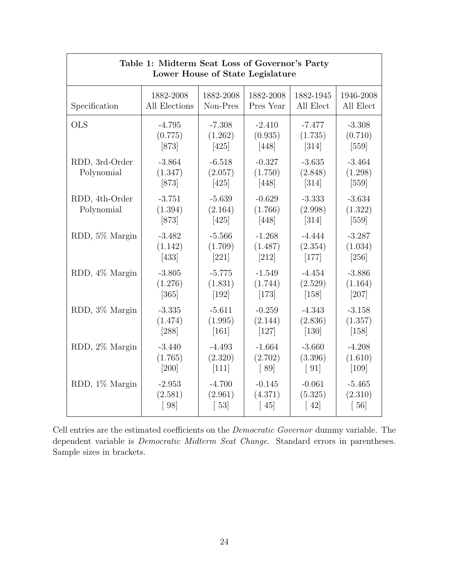| Table 1: Midterm Seat Loss of Governor's Party<br>Lower House of State Legislature |                                |                                |                                |                                |                                |  |
|------------------------------------------------------------------------------------|--------------------------------|--------------------------------|--------------------------------|--------------------------------|--------------------------------|--|
| Specification                                                                      | 1882-2008                      | 1882-2008                      | 1882-2008                      | 1882-1945                      | 1946-2008                      |  |
|                                                                                    | All Elections                  | Non-Pres                       | Pres Year                      | All Elect                      | All Elect                      |  |
| <b>OLS</b>                                                                         | $-4.795$                       | $-7.308$                       | $-2.410$                       | $-7.477$                       | $-3.308$                       |  |
|                                                                                    | (0.775)                        | (1.262)                        | (0.935)                        | (1.735)                        | (0.710)                        |  |
|                                                                                    | $[873]$                        | $[425]$                        | $[448]$                        | $[314]$                        | $[559]$                        |  |
| RDD, 3rd-Order<br>Polynomial                                                       | $-3.864$<br>(1.347)<br>$[873]$ | $-6.518$<br>(2.057)<br>$[425]$ | $-0.327$<br>(1.750)<br>$[448]$ | $-3.635$<br>(2.848)<br>$[314]$ | $-3.464$<br>(1.298)<br>$[559]$ |  |
| RDD, 4th-Order<br>Polynomial                                                       | $-3.751$<br>(1.394)<br>$[873]$ | $-5.639$<br>(2.164)<br>$[425]$ | $-0.629$<br>(1.766)<br>$[448]$ | $-3.333$<br>(2.998)<br>$[314]$ | $-3.634$<br>(1.322)<br>$[559]$ |  |
| RDD, 5% Margin                                                                     | $-3.482$                       | $-5.566$                       | $-1.268$                       | $-4.444$                       | $-3.287$                       |  |
|                                                                                    | (1.142)                        | (1.709)                        | (1.487)                        | (2.354)                        | (1.034)                        |  |
|                                                                                    | $[433]$                        | $[221]$                        | $[212]$                        | $[177]$                        | $[256]$                        |  |
| RDD, 4% Margin                                                                     | $-3.805$                       | $-5.775$                       | $-1.549$                       | $-4.454$                       | $-3.886$                       |  |
|                                                                                    | (1.276)                        | (1.831)                        | (1.744)                        | (2.529)                        | (1.164)                        |  |
|                                                                                    | $[365]$                        | $[192]$                        | $[173]$                        | $[158]$                        | $[207]$                        |  |
| RDD, 3% Margin                                                                     | $-3.335$                       | $-5.611$                       | $-0.259$                       | $-4.343$                       | $-3.158$                       |  |
|                                                                                    | (1.474)                        | (1.995)                        | (2.144)                        | (2.836)                        | (1.357)                        |  |
|                                                                                    | [288]                          | [161]                          | [127]                          | [130]                          | [158]                          |  |
| RDD, 2% Margin                                                                     | $-3.440$                       | $-4.493$                       | $-1.664$                       | $-3.660$                       | $-4.208$                       |  |
|                                                                                    | (1.765)                        | (2.320)                        | (2.702)                        | (3.396)                        | (1.610)                        |  |
|                                                                                    | $[200]$                        | $[111]$                        | [89]                           | $\lceil 91 \rceil$             | $[109]$                        |  |
| RDD, 1% Margin                                                                     | $-2.953$                       | $-4.700$                       | $-0.145$                       | $-0.061$                       | $-5.465$                       |  |
|                                                                                    | (2.581)                        | (2.961)                        | (4.371)                        | (5.325)                        | (2.310)                        |  |
|                                                                                    | [98]                           | $\lceil 53 \rceil$             | $\lceil 45 \rceil$             | $\lceil 42 \rceil$             | [56]                           |  |

Cell entries are the estimated coefficients on the Democratic Governor dummy variable. The dependent variable is Democratic Midterm Seat Change. Standard errors in parentheses. Sample sizes in brackets.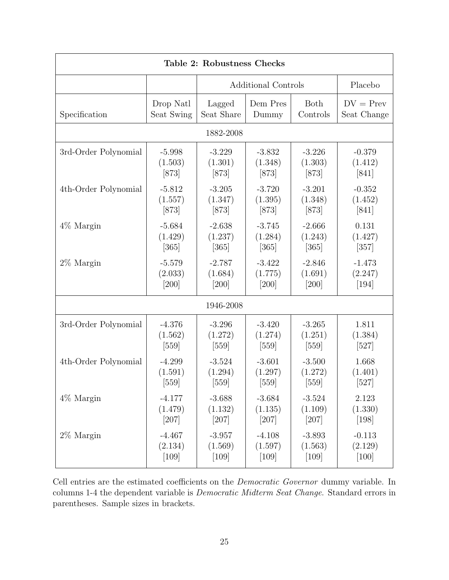| Table 2: Robustness Checks                             |                    |                                |                                |                                |                             |  |  |  |
|--------------------------------------------------------|--------------------|--------------------------------|--------------------------------|--------------------------------|-----------------------------|--|--|--|
|                                                        |                    | Additional Controls            | Placebo                        |                                |                             |  |  |  |
| Specification                                          | Drop Natl          | Lagged                         | Dem Pres                       | Both                           | $DV = Prev$                 |  |  |  |
|                                                        | Seat Swing         | Seat Share                     | Dummy                          | Controls                       | Seat Change                 |  |  |  |
| 1882-2008                                              |                    |                                |                                |                                |                             |  |  |  |
| 3rd-Order Polynomial                                   | $-5.998$           | $-3.229$                       | $-3.832$                       | $-3.226$                       | $-0.379$                    |  |  |  |
|                                                        | (1.503)            | (1.301)                        | (1.348)                        | (1.303)                        | (1.412)                     |  |  |  |
|                                                        | $[873]$            | $[873]$                        | $[873]$                        | $[873]$                        | [841]                       |  |  |  |
| 4th-Order Polynomial                                   | $-5.812$           | $-3.205$                       | $-3.720$                       | $-3.201$                       | $-0.352$                    |  |  |  |
|                                                        | (1.557)            | (1.347)                        | (1.395)                        | (1.348)                        | (1.452)                     |  |  |  |
|                                                        | $[873]$            | $[873]$                        | $[873]$                        | $[873]$                        | [841]                       |  |  |  |
| $4\%$ Margin                                           | $-5.684$           | $-2.638$                       | $-3.745$                       | $-2.666$                       | 0.131                       |  |  |  |
|                                                        | (1.429)            | (1.237)                        | (1.284)                        | (1.243)                        | (1.427)                     |  |  |  |
|                                                        | $\left[365\right]$ | $[365]$                        | $\left[365\right]$             | $[365]$                        | [357]                       |  |  |  |
| $2\%$ Margin                                           | $-5.579$           | $-2.787$                       | $-3.422$                       | $-2.846$                       | $-1.473$                    |  |  |  |
|                                                        | (2.033)            | (1.684)                        | (1.775)                        | (1.691)                        | (2.247)                     |  |  |  |
|                                                        | $[200]$            | [200]                          | $[200]$                        | $[200]$                        | $[194]$                     |  |  |  |
|                                                        |                    | 1946-2008                      |                                |                                |                             |  |  |  |
| 3rd-Order Polynomial                                   | $-4.376$           | $-3.296$                       | $-3.420$                       | $-3.265$                       | 1.811                       |  |  |  |
|                                                        | (1.562)            | (1.272)                        | (1.274)                        | (1.251)                        | (1.384)                     |  |  |  |
|                                                        | $[559]$            | $[559]$                        | $[559]$                        | $[559]$                        | $[527]$                     |  |  |  |
| 4th-Order Polynomial<br>$-4.299$<br>(1.591)<br>$[559]$ |                    | $-3.524$<br>(1.294)<br>$[559]$ | $-3.601$<br>(1.297)<br>$[559]$ | $-3.500$<br>(1.272)<br>$[559]$ | 1.668<br>(1.401)<br>$[527]$ |  |  |  |
| $4\%$ Margin                                           | $-4.177$           | $-3.688$                       | $-3.684$                       | $\textbf{-3.524}$              | 2.123                       |  |  |  |
|                                                        | (1.479)            | (1.132)                        | (1.135)                        | (1.109)                        | (1.330)                     |  |  |  |
|                                                        | $[207]$            | $[207]$                        | $[207]$                        | $[207]$                        | $[198]$                     |  |  |  |
| $2\%$ Margin                                           | $-4.467$           | $-3.957$                       | $-4.108$                       | $-3.893$                       | $-0.113$                    |  |  |  |
|                                                        | (2.134)            | (1.569)                        | (1.597)                        | (1.563)                        | (2.129)                     |  |  |  |
|                                                        | $[109]$            | $[109]$                        | $[109]$                        | $[109]$                        | $[100]$                     |  |  |  |

Cell entries are the estimated coefficients on the Democratic Governor dummy variable. In columns 1-4 the dependent variable is Democratic Midterm Seat Change. Standard errors in parentheses. Sample sizes in brackets.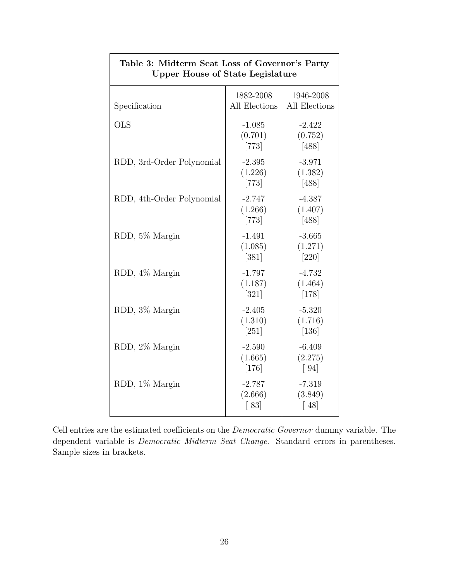| <b>Upper House of State Legislature</b> |                                |                                          |  |  |  |  |
|-----------------------------------------|--------------------------------|------------------------------------------|--|--|--|--|
| Specification                           | 1882-2008<br>All Elections     | 1946-2008<br>All Elections               |  |  |  |  |
| <b>OLS</b>                              | $-1.085$<br>(0.701)<br>$[773]$ | $-2.422$<br>(0.752)<br>$[488]$           |  |  |  |  |
| RDD, 3rd-Order Polynomial               | $-2.395$<br>(1.226)<br>$[773]$ | $-3.971$<br>(1.382)<br>$[488]$           |  |  |  |  |
| RDD, 4th-Order Polynomial               | $-2.747$<br>(1.266)<br>$[773]$ | $-4.387$<br>(1.407)<br>$[488]$           |  |  |  |  |
| RDD, 5% Margin                          | $-1.491$<br>(1.085)<br>$[381]$ | $-3.665$<br>(1.271)<br>$[220]$           |  |  |  |  |
| RDD, 4% Margin                          | $-1.797$<br>(1.187)<br>$[321]$ | $-4.732$<br>(1.464)<br>$[178]$           |  |  |  |  |
| RDD, 3% Margin                          | $-2.405$<br>(1.310)<br>[251]   | $-5.320$<br>(1.716)<br>$[136]$           |  |  |  |  |
| RDD, 2% Margin                          | $-2.590$<br>(1.665)<br>$[176]$ | $-6.409$<br>(2.275)<br>$\left[94\right]$ |  |  |  |  |
| RDD, 1% Margin                          | $-2.787$<br>(2.666)<br>[83]    | $-7.319$<br>(3.849)<br>[48]              |  |  |  |  |

# Table 3: Midterm Seat Loss of Governor's Party

- 1

Cell entries are the estimated coefficients on the Democratic Governor dummy variable. The dependent variable is Democratic Midterm Seat Change. Standard errors in parentheses. Sample sizes in brackets.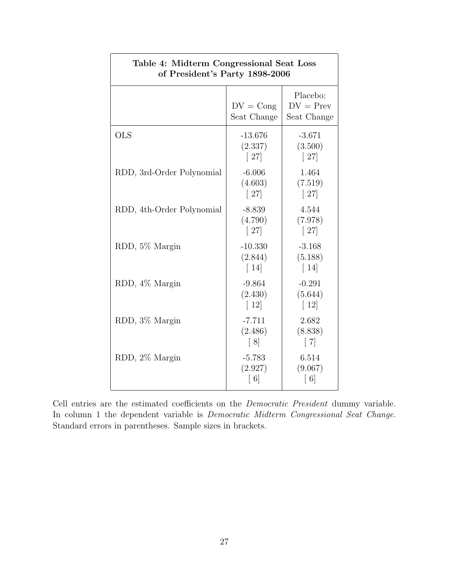| Table 4: Midterm Congressional Seat Loss<br>of President's Party 1898-2006 |                                            |                                           |  |  |  |  |
|----------------------------------------------------------------------------|--------------------------------------------|-------------------------------------------|--|--|--|--|
|                                                                            | $DV = Cong$<br>Seat Change                 | Placebo:<br>$DV = Prev$<br>Seat Change    |  |  |  |  |
| <b>OLS</b>                                                                 | $-13.676$<br>(2.337)<br>$\lceil 27 \rceil$ | $-3.671$<br>(3.500)<br>$\lceil 27 \rceil$ |  |  |  |  |
| RDD, 3rd-Order Polynomial                                                  | $-6.006$<br>(4.603)<br>$\lceil 27 \rceil$  | 1.464<br>(7.519)<br>$\lceil 27 \rceil$    |  |  |  |  |
| RDD, 4th-Order Polynomial                                                  | $-8.839$<br>(4.790)<br>$\lceil 27 \rceil$  | 4.544<br>(7.978)<br>$\lceil 27 \rceil$    |  |  |  |  |
| RDD, 5% Margin                                                             | $-10.330$<br>(2.844)<br>$\lceil 14 \rceil$ | $-3.168$<br>(5.188)<br>$\lceil 14 \rceil$ |  |  |  |  |
| RDD, 4% Margin                                                             | $-9.864$<br>(2.430)<br>$\lceil 12 \rceil$  | $-0.291$<br>(5.644)<br>$\lceil 12 \rceil$ |  |  |  |  |
| RDD, 3% Margin                                                             | $-7.711$<br>(2.486)<br>$\lceil 8 \rceil$   | 2.682<br>(8.838)<br>$\lceil 7 \rceil$     |  |  |  |  |
| RDD, 2% Margin                                                             | $-5.783$<br>(2.927)<br>$\lceil 6 \rceil$   | 6.514<br>(9.067)<br>$\lceil 6 \rceil$     |  |  |  |  |

٦

Cell entries are the estimated coefficients on the Democratic President dummy variable. In column 1 the dependent variable is Democratic Midterm Congressional Seat Change. Standard errors in parentheses. Sample sizes in brackets.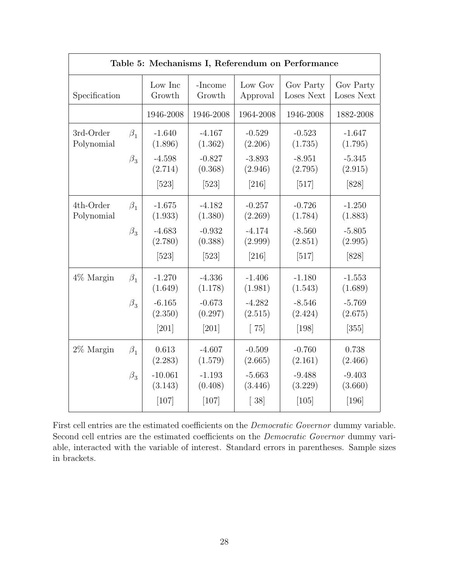| Table 5: Mechanisms I, Referendum on Performance |           |                      |                     |                     |                         |                         |
|--------------------------------------------------|-----------|----------------------|---------------------|---------------------|-------------------------|-------------------------|
| Specification                                    |           | Low Inc<br>Growth    | -Income<br>Growth   | Low Gov<br>Approval | Gov Party<br>Loses Next | Gov Party<br>Loses Next |
|                                                  |           | 1946-2008            | 1946-2008           | 1964-2008           | 1946-2008               | 1882-2008               |
| 3rd-Order<br>Polynomial                          | $\beta_1$ | $-1.640$<br>(1.896)  | $-4.167$<br>(1.362) | $-0.529$<br>(2.206) | $-0.523$<br>(1.735)     | $-1.647$<br>(1.795)     |
|                                                  | $\beta_3$ | $-4.598$<br>(2.714)  | $-0.827$<br>(0.368) | $-3.893$<br>(2.946) | $-8.951$<br>(2.795)     | $-5.345$<br>(2.915)     |
|                                                  |           | $[523]$              | $[523]$             | $[216]$             | $[517]$                 | [828]                   |
| 4th-Order<br>Polynomial                          | $\beta_1$ | $-1.675$<br>(1.933)  | $-4.182$<br>(1.380) | $-0.257$<br>(2.269) | $-0.726$<br>(1.784)     | $-1.250$<br>(1.883)     |
|                                                  | $\beta_3$ | $-4.683$<br>(2.780)  | $-0.932$<br>(0.388) | $-4.174$<br>(2.999) | $-8.560$<br>(2.851)     | $-5.805$<br>(2.995)     |
|                                                  |           | $[523]$              | $[523]$             | $[216]$             | $[517]$                 | $[828]$                 |
| $4\%$ Margin                                     | $\beta_1$ | $-1.270$<br>(1.649)  | $-4.336$<br>(1.178) | $-1.406$<br>(1.981) | $-1.180$<br>(1.543)     | $-1.553$<br>(1.689)     |
|                                                  | $\beta_3$ | $-6.165$<br>(2.350)  | $-0.673$<br>(0.297) | $-4.282$<br>(2.515) | $-8.546$<br>(2.424)     | $-5.769$<br>(2.675)     |
|                                                  |           | $[201]$              | $[201]$             | $\lceil 75 \rceil$  | $[198]$                 | $[355]$                 |
| $2\%$ Margin                                     | $\beta_1$ | 0.613<br>(2.283)     | $-4.607$<br>(1.579) | $-0.509$<br>(2.665) | $-0.760$<br>(2.161)     | 0.738<br>(2.466)        |
|                                                  | $\beta_3$ | $-10.061$<br>(3.143) | $-1.193$<br>(0.408) | $-5.663$<br>(3.446) | $-9.488$<br>(3.229)     | $-9.403$<br>(3.660)     |
|                                                  |           | $[107]$              | $[107]$             | $\left[38\right]$   | $[105]$                 | $[196]$                 |

First cell entries are the estimated coefficients on the Democratic Governor dummy variable. Second cell entries are the estimated coefficients on the *Democratic Governor* dummy variable, interacted with the variable of interest. Standard errors in parentheses. Sample sizes in brackets.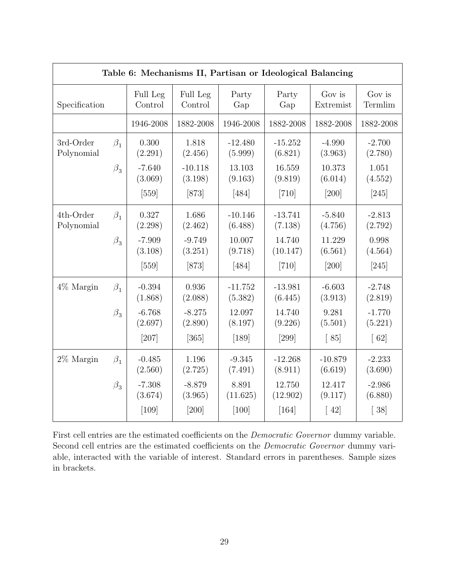| Table 6: Mechanisms II, Partisan or Ideological Balancing |           |                     |                      |                      |                      |                      |                     |
|-----------------------------------------------------------|-----------|---------------------|----------------------|----------------------|----------------------|----------------------|---------------------|
| Specification                                             |           | Full Leg<br>Control | Full Leg<br>Control  | Party<br>Gap         | Party<br>Gap         | Gov is<br>Extremist  | Gov is<br>Termlim   |
|                                                           |           | 1946-2008           | 1882-2008            | 1946-2008            | 1882-2008            | 1882-2008            | 1882-2008           |
| 3rd-Order<br>Polynomial                                   | $\beta_1$ | 0.300<br>(2.291)    | 1.818<br>(2.456)     | $-12.480$<br>(5.999) | $-15.252$<br>(6.821) | $-4.990$<br>(3.963)  | $-2.700$<br>(2.780) |
|                                                           | $\beta_3$ | $-7.640$<br>(3.069) | $-10.118$<br>(3.198) | 13.103<br>(9.163)    | 16.559<br>(9.819)    | 10.373<br>(6.014)    | 1.051<br>(4.552)    |
|                                                           |           | $[559]$             | $[873]$              | $[484]$              | $[710]$              | [200]                | $[245]$             |
| 4th-Order<br>Polynomial                                   | $\beta_1$ | 0.327<br>(2.298)    | 1.686<br>(2.462)     | $-10.146$<br>(6.488) | $-13.741$<br>(7.138) | $-5.840$<br>(4.756)  | $-2.813$<br>(2.792) |
|                                                           | $\beta_3$ | $-7.909$<br>(3.108) | $-9.749$<br>(3.251)  | 10.007<br>(9.718)    | 14.740<br>(10.147)   | 11.229<br>(6.561)    | 0.998<br>(4.564)    |
|                                                           |           | $[559]$             | $[873]$              | $[484]$              | $[710]$              | $[200]$              | [245]               |
| $4\%$ Margin                                              | $\beta_1$ | $-0.394$<br>(1.868) | 0.936<br>(2.088)     | $-11.752$<br>(5.382) | $-13.981$<br>(6.445) | $-6.603$<br>(3.913)  | $-2.748$<br>(2.819) |
|                                                           | $\beta_3$ | $-6.768$<br>(2.697) | $-8.275$<br>(2.890)  | 12.097<br>(8.197)    | 14.740<br>(9.226)    | 9.281<br>(5.501)     | $-1.770$<br>(5.221) |
|                                                           |           | $[207]$             | $[365]$              | $[189]$              | $[299]$              | [85]                 | $\lceil 62 \rceil$  |
| $2\%$ Margin                                              | $\beta_1$ | $-0.485$<br>(2.560) | 1.196<br>(2.725)     | $-9.345$<br>(7.491)  | $-12.268$<br>(8.911) | $-10.879$<br>(6.619) | $-2.233$<br>(3.690) |
|                                                           | $\beta_3$ | $-7.308$<br>(3.674) | $-8.879$<br>(3.965)  | 8.891<br>(11.625)    | 12.750<br>(12.902)   | 12.417<br>(9.117)    | $-2.986$<br>(6.880) |
|                                                           |           | $[109]$             | $[200]$              | $[100]$              | $[164]$              | $\lceil 42 \rceil$   | $\left[38\right]$   |

First cell entries are the estimated coefficients on the Democratic Governor dummy variable. Second cell entries are the estimated coefficients on the Democratic Governor dummy variable, interacted with the variable of interest. Standard errors in parentheses. Sample sizes in brackets.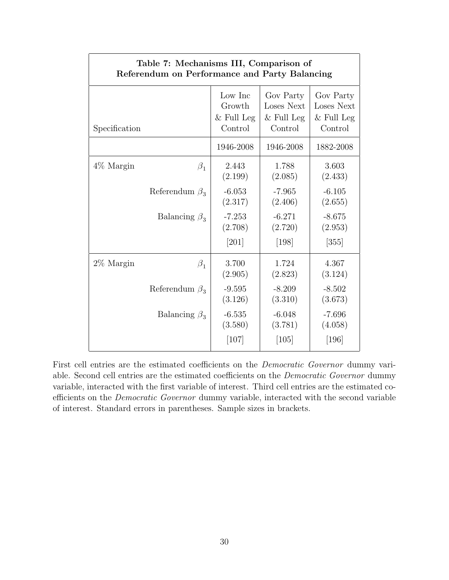| Table 7: Mechanisms III, Comparison of<br>Referendum on Performance and Party Balancing |              |              |              |  |  |  |  |
|-----------------------------------------------------------------------------------------|--------------|--------------|--------------|--|--|--|--|
| Specification                                                                           | Low Inc      | Gov Party    | Gov Party    |  |  |  |  |
|                                                                                         | Growth       | Loses Next   | Loses Next   |  |  |  |  |
|                                                                                         | $&$ Full Leg | $&$ Full Leg | $&$ Full Leg |  |  |  |  |
|                                                                                         | Control      | Control      | Control      |  |  |  |  |
|                                                                                         | 1946-2008    | 1946-2008    | 1882-2008    |  |  |  |  |
| $4\%$ Margin                                                                            | 2.443        | 1.788        | 3.603        |  |  |  |  |
| $\beta_1$                                                                               | (2.199)      | (2.085)      | (2.433)      |  |  |  |  |
| Referendum $\beta_3$                                                                    | $-6.053$     | $-7.965$     | $-6.105$     |  |  |  |  |
|                                                                                         | (2.317)      | (2.406)      | (2.655)      |  |  |  |  |
| Balancing $\beta_3$                                                                     | $-7.253$     | $-6.271$     | $-8.675$     |  |  |  |  |
|                                                                                         | (2.708)      | (2.720)      | (2.953)      |  |  |  |  |
|                                                                                         | $[201]$      | $[198]$      | $[355]$      |  |  |  |  |
| $2\%$ Margin                                                                            | 3.700        | 1.724        | 4.367        |  |  |  |  |
| $\beta_1$                                                                               | (2.905)      | (2.823)      | (3.124)      |  |  |  |  |
| Referendum $\beta_3$                                                                    | $-9.595$     | $-8.209$     | $-8.502$     |  |  |  |  |
|                                                                                         | (3.126)      | (3.310)      | (3.673)      |  |  |  |  |
| Balancing $\beta_3$                                                                     | $-6.535$     | $-6.048$     | $-7.696$     |  |  |  |  |
|                                                                                         | (3.580)      | (3.781)      | (4.058)      |  |  |  |  |
|                                                                                         | [107]        | [105]        | [196]        |  |  |  |  |

First cell entries are the estimated coefficients on the *Democratic Governor* dummy variable. Second cell entries are the estimated coefficients on the Democratic Governor dummy variable, interacted with the first variable of interest. Third cell entries are the estimated coefficients on the Democratic Governor dummy variable, interacted with the second variable of interest. Standard errors in parentheses. Sample sizes in brackets.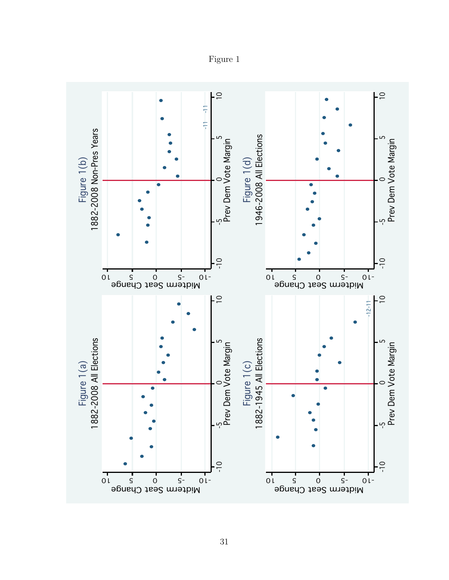

Figure 1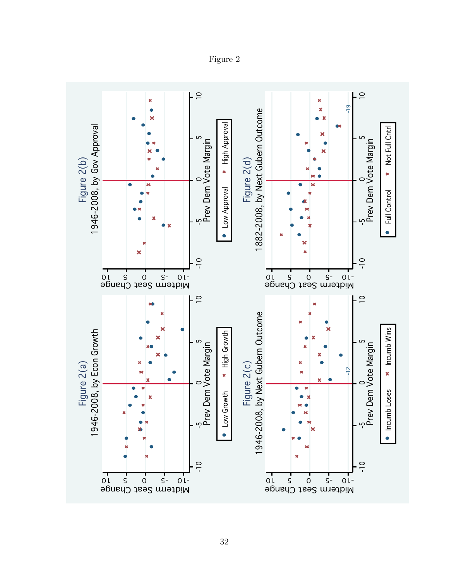$\overline{10}$  $\supseteq$ × ×  $\begin{bmatrix}\n\frac{1}{2} \text{gue 2(1)} \\
\frac{1}{2} \text{gue 2(1)} \\
\frac{1}{2} \text{gue 2(0)} \\
\frac{1}{2} \text{gue 2(0)} \\
\frac{1}{2} \text{gue 2(0)} \\
\frac{1}{2} \text{gue 2}(0) \\
\frac{1}{2} \text{gue 2}(0) \\
\frac{1}{2} \text{gue 2}(0) \\
\frac{1}{2} \text{gue 2(0)} \\
\frac{1}{2} \text{gue 2(0)} \\
\frac{1}{2} \text{gue 2(0)} \\
\frac{1}{2} \text{gue 2($ Bendal 1946-2008, by Econ Growth<br>  $\frac{8}{3}$  and  $\frac{8}{3}$  and  $\frac{8}{3}$  and  $\frac{8}{3}$  and  $\frac{8}{3}$  and  $\frac{8}{3}$  and  $\frac{8}{3}$  and  $\frac{8}{3}$  and  $\frac{8}{3}$  and  $\frac{8}{3}$  and  $\frac{8}{3}$  and  $\frac{8}{3}$  and  $\frac{8}{3}$  and  $\frac{8$ Figure 2(b)<br>1946-2008, by Gov Approval High Approval 1946-2008, by Gov Approval Not Full CntrlNot Full Cntrl ഗ ഗ Prev Dem Vote Margin Prev Dem Vote Margin Figure 2(a)<br>
1946-2008, by Econ Growth<br>  $\frac{6}{5}$  or  $\frac{1}{2}$ <br>  $\frac{1}{2}$ <br>  $\frac{1}{2}$ <br>  $\frac{1}{2}$ <br>  $\frac{1}{2}$ <br>  $\frac{1}{2}$ <br>  $\frac{1}{2}$ <br>  $\frac{1}{2}$ <br>  $\frac{1}{2}$ <br>  $\frac{1}{2}$ <br>  $\frac{1}{2}$ <br>  $\frac{1}{2}$ <br>  $\frac{1}{2}$ <br>  $\frac{1}{2}$ <br>  $\frac{1}{2}$ <br>  $\frac$  $\circ$  $\circ$ Low Approval Full Control م. م. -10 -10 -10 -5 0 5 10 Midterm Seat Change -10 -5 0 5 10 Midterm Seat Change  $\overline{0}$  $\overline{C}$ 1946-2008, by Next Gubern Outcome Figure 2(a)<br>1946-2008, by Econ Growth Incumb Wins 1946-2008, by Econ Growth High Growth ഗ ഗ Prev Dem Vote Margin Prev Dem Vote Margin 2(c)Figure 2(c)  $\frac{2}{1}$  $\circ$  $\circ$ Incumb Loses Low Growth م. م. -10 -10 -10 -5 0 5<sup>5</sup> 10 0l S 0 S-01-Midterm Seat Change Midterm Seat Change

Figure 2